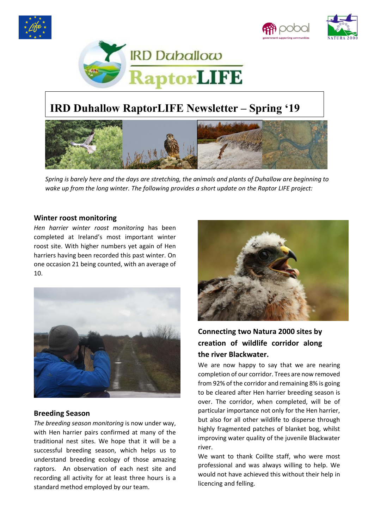





# **IRD Duhallow RaptorLIFE Newsletter – Spring '19**



*Spring is barely here and the days are stretching, the animals and plants of Duhallow are beginning to wake up from the long winter. The following provides a short update on the Raptor LIFE project:*

### **Winter roost monitoring**

*Hen harrier winter roost monitoring* has been completed at Ireland's most important winter roost site. With higher numbers yet again of Hen harriers having been recorded this past winter. On one occasion 21 being counted, with an average of 10.



## **Breeding Season**

*The breeding season monitoring* is now under way, with Hen harrier pairs confirmed at many of the traditional nest sites. We hope that it will be a successful breeding season, which helps us to understand breeding ecology of those amazing raptors. An observation of each nest site and recording all activity for at least three hours is a standard method employed by our team.



# **Connecting two Natura 2000 sites by creation of wildlife corridor along the river Blackwater.**

We are now happy to say that we are nearing completion of our corridor. Trees are now removed from 92% of the corridor and remaining 8% is going to be cleared after Hen harrier breeding season is over. The corridor, when completed, will be of particular importance not only for the Hen harrier, but also for all other wildlife to disperse through highly fragmented patches of blanket bog, whilst improving water quality of the juvenile Blackwater river.

We want to thank Coillte staff, who were most professional and was always willing to help. We would not have achieved this without their help in licencing and felling.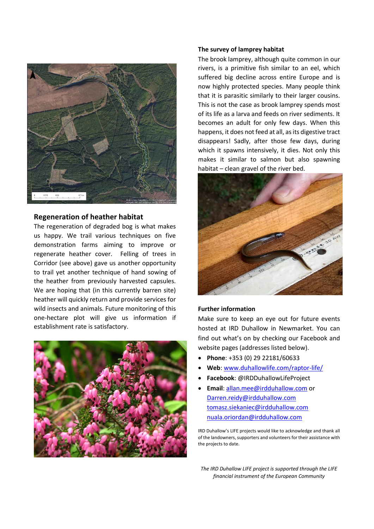

### **Regeneration of heather habitat**

The regeneration of degraded bog is what makes us happy. We trail various techniques on five demonstration farms aiming to improve or regenerate heather cover. Felling of trees in Corridor (see above) gave us another opportunity to trail yet another technique of hand sowing of the heather from previously harvested capsules. We are hoping that (in this currently barren site) heather will quickly return and provide services for wild insects and animals. Future monitoring of this one-hectare plot will give us information if establishment rate is satisfactory.



### **The survey of lamprey habitat**

The brook lamprey, although quite common in our rivers, is a primitive fish similar to an eel, which suffered big decline across entire Europe and is now highly protected species. Many people think that it is parasitic similarly to their larger cousins. This is not the case as brook lamprey spends most of its life as a larva and feeds on river sediments. It becomes an adult for only few days. When this happens, it does not feed at all, as its digestive tract disappears! Sadly, after those few days, during which it spawns intensively, it dies. Not only this makes it similar to salmon but also spawning habitat – clean gravel of the river bed.



### **Further information**

Make sure to keep an eye out for future events hosted at IRD Duhallow in Newmarket. You can find out what's on by checking our Facebook and website pages (addresses listed below).

- **Phone**: +353 (0) 29 22181/60633
- **Web**: [www.duhallowlife.com/raptor-life/](http://www.duhallowlife.com/raptor-life/)
- **Facebook**: @IRDDuhallowLifeProject
- **Email**: [allan.mee@irdduhallow.com](mailto:allan.mee@irdduhallow.com) or [Darren.reidy@irdduhallow.com](mailto:Darren.reidy@irdduhallow.com) [tomasz.siekaniec@irdduhallow.com](mailto:tomasz.siekaniec@irdduhallow.com) [nuala.oriordan@irdduhallow.com](mailto:nuala.oriordan@irdduhallow.com)

IRD Duhallow's LIFE projects would like to acknowledge and thank all of the landowners, supporters and volunteers for their assistance with the projects to date.

*The IRD Duhallow LIFE project is supported through the LIFE financial instrument of the European Community*